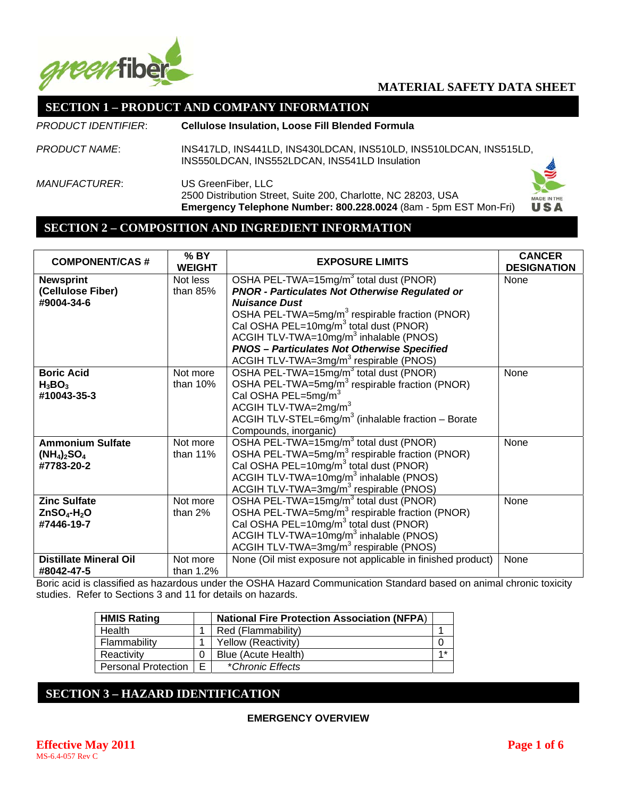

# **SECTION 1 – PRODUCT AND COMPANY INFORMATION**

| PRODUCT IDENTIFIER:  | <b>Cellulose Insulation, Loose Fill Blended Formula</b>                                                                                                 |                           |
|----------------------|---------------------------------------------------------------------------------------------------------------------------------------------------------|---------------------------|
| PRODUCT NAME:        | INS417LD, INS441LD, INS430LDCAN, INS510LD, INS510LDCAN, INS515LD,<br>INS550LDCAN, INS552LDCAN, INS541LD Insulation                                      |                           |
| <i>MANUFACTURER:</i> | US GreenFiber, LLC<br>2500 Distribution Street, Suite 200, Charlotte, NC 28203, USA<br>Emergency Telephone Number: 800.228.0024 (8am - 5pm EST Mon-Fri) | <b>MADE IN THE</b><br>USA |

#### **SECTION 2 – COMPOSITION AND INGREDIENT INFORMATION**

| <b>COMPONENT/CAS#</b>         | $%$ BY<br><b>WEIGHT</b> | <b>EXPOSURE LIMITS</b>                                         | <b>CANCER</b><br><b>DESIGNATION</b> |
|-------------------------------|-------------------------|----------------------------------------------------------------|-------------------------------------|
| <b>Newsprint</b>              | Not less                | OSHA PEL-TWA=15mg/m <sup>3</sup> total dust (PNOR)             | None                                |
| (Cellulose Fiber)             | than $85%$              | <b>PNOR - Particulates Not Otherwise Regulated or</b>          |                                     |
| #9004-34-6                    |                         | <b>Nuisance Dust</b>                                           |                                     |
|                               |                         | OSHA PEL-TWA=5mg/m <sup>3</sup> respirable fraction (PNOR)     |                                     |
|                               |                         | Cal OSHA PEL=10mg/m <sup>3</sup> total dust (PNOR)             |                                     |
|                               |                         | ACGIH TLV-TWA=10 $mg/m3$ inhalable (PNOS)                      |                                     |
|                               |                         | <b>PNOS - Particulates Not Otherwise Specified</b>             |                                     |
|                               |                         | ACGIH TLV-TWA=3mg/m <sup>3</sup> respirable (PNOS)             |                                     |
| <b>Boric Acid</b>             | Not more                | OSHA PEL-TWA=15mg/m <sup>3</sup> total dust (PNOR)             | None                                |
| $H_3BO_3$                     | than $10%$              | OSHA PEL-TWA=5mg/m <sup>3</sup> respirable fraction (PNOR)     |                                     |
| #10043-35-3                   |                         | Cal OSHA PEL=5mg/m <sup>3</sup>                                |                                     |
|                               |                         | ACGIH TLV-TWA=2mg/m <sup>3</sup>                               |                                     |
|                               |                         | ACGIH TLV-STEL=6mg/m <sup>3</sup> (inhalable fraction - Borate |                                     |
|                               |                         | Compounds, inorganic)                                          |                                     |
| <b>Ammonium Sulfate</b>       | Not more                | OSHA PEL-TWA=15mg/m <sup>3</sup> total dust (PNOR)             | None                                |
| $(NH_4)_2SO_4$                | than $11%$              | OSHA PEL-TWA=5mg/m <sup>3</sup> respirable fraction (PNOR)     |                                     |
| #7783-20-2                    |                         | Cal OSHA PEL=10mg/m <sup>3</sup> total dust (PNOR)             |                                     |
|                               |                         | ACGIH TLV-TWA=10mg/m <sup>3</sup> inhalable (PNOS)             |                                     |
|                               |                         | ACGIH TLV-TWA=3mg/m <sup>3</sup> respirable (PNOS)             |                                     |
| <b>Zinc Sulfate</b>           | Not more                | OSHA PEL-TWA=15mg/m <sup>3</sup> total dust (PNOR)             | None                                |
| $ZnSO4-H2O$                   | than $2%$               | OSHA PEL-TWA=5mg/m <sup>3</sup> respirable fraction (PNOR)     |                                     |
| #7446-19-7                    |                         | Cal OSHA PEL=10mg/m <sup>3</sup> total dust (PNOR)             |                                     |
|                               |                         | ACGIH TLV-TWA=10 $mg/m3$ inhalable (PNOS)                      |                                     |
|                               |                         | ACGIH TLV-TWA=3mg/m <sup>3</sup> respirable (PNOS)             |                                     |
| <b>Distillate Mineral Oil</b> | Not more                | None (Oil mist exposure not applicable in finished product)    | None                                |
| #8042-47-5                    | than 1.2%               |                                                                |                                     |
|                               |                         | $\sim$ $\sim$ $\sim$ $\sim$ $\sim$                             |                                     |

Boric acid is classified as hazardous under the OSHA Hazard Communication Standard based on animal chronic toxicity studies. Refer to Sections 3 and 11 for details on hazards.

| <b>HMIS Rating</b>         |   | <b>National Fire Protection Association (NFPA)</b> |      |
|----------------------------|---|----------------------------------------------------|------|
| Health                     |   | Red (Flammability)                                 |      |
| Flammability               |   | Yellow (Reactivity)                                |      |
| Reactivity                 |   | Blue (Acute Health)                                | $4*$ |
| <b>Personal Protection</b> | F | *Chronic Effects                                   |      |

# **SECTION 3 – HAZARD IDENTIFICATION**

#### **EMERGENCY OVERVIEW**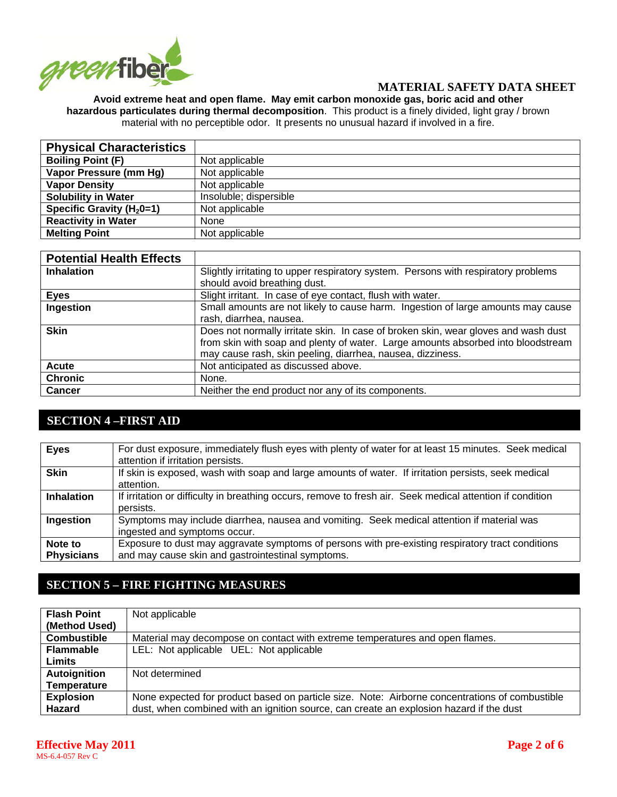

#### **Avoid extreme heat and open flame. May emit carbon monoxide gas, boric acid and other hazardous particulates during thermal decomposition**. This product is a finely divided, light gray / brown material with no perceptible odor. It presents no unusual hazard if involved in a fire.

| <b>Physical Characteristics</b> |                        |
|---------------------------------|------------------------|
| <b>Boiling Point (F)</b>        | Not applicable         |
| Vapor Pressure (mm Hg)          | Not applicable         |
| <b>Vapor Density</b>            | Not applicable         |
| <b>Solubility in Water</b>      | Insoluble; dispersible |
| Specific Gravity ( $H_2$ 0=1)   | Not applicable         |
| <b>Reactivity in Water</b>      | None                   |
| <b>Melting Point</b>            | Not applicable         |

| <b>Potential Health Effects</b> |                                                                                    |
|---------------------------------|------------------------------------------------------------------------------------|
| <b>Inhalation</b>               | Slightly irritating to upper respiratory system. Persons with respiratory problems |
|                                 | should avoid breathing dust.                                                       |
| <b>Eyes</b>                     | Slight irritant. In case of eye contact, flush with water.                         |
| Ingestion                       | Small amounts are not likely to cause harm. Ingestion of large amounts may cause   |
|                                 | rash, diarrhea, nausea.                                                            |
| <b>Skin</b>                     | Does not normally irritate skin. In case of broken skin, wear gloves and wash dust |
|                                 | from skin with soap and plenty of water. Large amounts absorbed into bloodstream   |
|                                 | may cause rash, skin peeling, diarrhea, nausea, dizziness.                         |
| Acute                           | Not anticipated as discussed above.                                                |
| <b>Chronic</b>                  | None.                                                                              |
| <b>Cancer</b>                   | Neither the end product nor any of its components.                                 |

## **SECTION 4 –FIRST AID**

| <b>Eyes</b>                  | For dust exposure, immediately flush eyes with plenty of water for at least 15 minutes. Seek medical<br>attention if irritation persists.              |
|------------------------------|--------------------------------------------------------------------------------------------------------------------------------------------------------|
| <b>Skin</b>                  | If skin is exposed, wash with soap and large amounts of water. If irritation persists, seek medical<br>attention.                                      |
| <b>Inhalation</b>            | If irritation or difficulty in breathing occurs, remove to fresh air. Seek medical attention if condition<br>persists.                                 |
| Ingestion                    | Symptoms may include diarrhea, nausea and vomiting. Seek medical attention if material was<br>ingested and symptoms occur.                             |
| Note to<br><b>Physicians</b> | Exposure to dust may aggravate symptoms of persons with pre-existing respiratory tract conditions<br>and may cause skin and gastrointestinal symptoms. |

# **SECTION 5 – FIRE FIGHTING MEASURES**

| <b>Flash Point</b> | Not applicable                                                                                 |
|--------------------|------------------------------------------------------------------------------------------------|
| (Method Used)      |                                                                                                |
| <b>Combustible</b> | Material may decompose on contact with extreme temperatures and open flames.                   |
| <b>Flammable</b>   | LEL: Not applicable UEL: Not applicable                                                        |
| Limits             |                                                                                                |
| Autoignition       | Not determined                                                                                 |
| <b>Temperature</b> |                                                                                                |
| <b>Explosion</b>   | None expected for product based on particle size. Note: Airborne concentrations of combustible |
| Hazard             | dust, when combined with an ignition source, can create an explosion hazard if the dust        |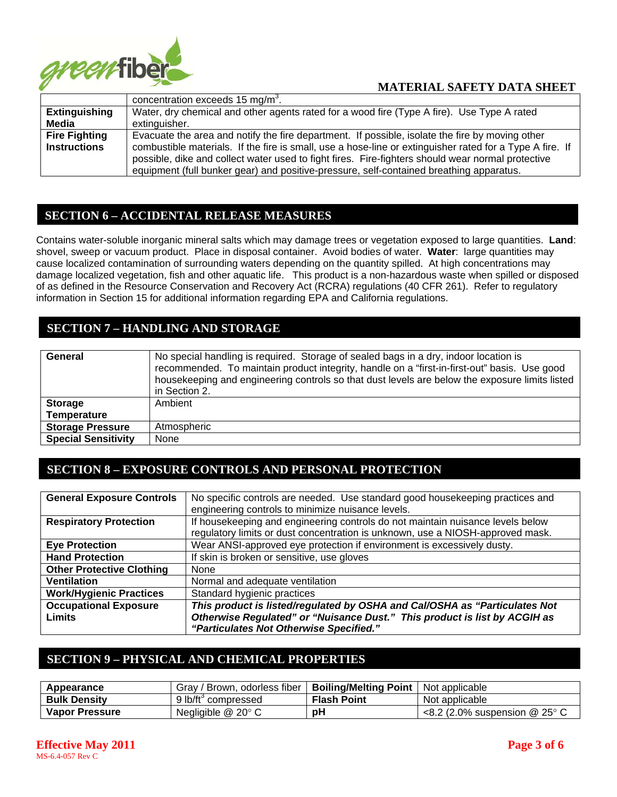

|                                             | concentration exceeds 15 mg/m <sup>3</sup> .                                                                                                                                                                                                                                                                                                                                                                |
|---------------------------------------------|-------------------------------------------------------------------------------------------------------------------------------------------------------------------------------------------------------------------------------------------------------------------------------------------------------------------------------------------------------------------------------------------------------------|
| <b>Extinguishing</b>                        | Water, dry chemical and other agents rated for a wood fire (Type A fire). Use Type A rated                                                                                                                                                                                                                                                                                                                  |
| Media                                       | extinguisher.                                                                                                                                                                                                                                                                                                                                                                                               |
| <b>Fire Fighting</b><br><b>Instructions</b> | Evacuate the area and notify the fire department. If possible, isolate the fire by moving other<br>combustible materials. If the fire is small, use a hose-line or extinguisher rated for a Type A fire. If<br>possible, dike and collect water used to fight fires. Fire-fighters should wear normal protective<br>equipment (full bunker gear) and positive-pressure, self-contained breathing apparatus. |

### **SECTION 6 – ACCIDENTAL RELEASE MEASURES**

Contains water-soluble inorganic mineral salts which may damage trees or vegetation exposed to large quantities. **Land**: shovel, sweep or vacuum product. Place in disposal container. Avoid bodies of water. **Water**: large quantities may cause localized contamination of surrounding waters depending on the quantity spilled. At high concentrations may damage localized vegetation, fish and other aquatic life. This product is a non-hazardous waste when spilled or disposed of as defined in the Resource Conservation and Recovery Act (RCRA) regulations (40 CFR 261). Refer to regulatory information in Section 15 for additional information regarding EPA and California regulations.

## **SECTION 7 – HANDLING AND STORAGE**

| General                    | No special handling is required. Storage of sealed bags in a dry, indoor location is<br>recommended. To maintain product integrity, handle on a "first-in-first-out" basis. Use good<br>housekeeping and engineering controls so that dust levels are below the exposure limits listed<br>in Section 2. |
|----------------------------|---------------------------------------------------------------------------------------------------------------------------------------------------------------------------------------------------------------------------------------------------------------------------------------------------------|
| <b>Storage</b>             | Ambient                                                                                                                                                                                                                                                                                                 |
| <b>Temperature</b>         |                                                                                                                                                                                                                                                                                                         |
| <b>Storage Pressure</b>    | Atmospheric                                                                                                                                                                                                                                                                                             |
| <b>Special Sensitivity</b> | None                                                                                                                                                                                                                                                                                                    |

## **SECTION 8 – EXPOSURE CONTROLS AND PERSONAL PROTECTION**

| <b>General Exposure Controls</b> | No specific controls are needed. Use standard good housekeeping practices and<br>engineering controls to minimize nuisance levels.                               |
|----------------------------------|------------------------------------------------------------------------------------------------------------------------------------------------------------------|
| <b>Respiratory Protection</b>    | If housekeeping and engineering controls do not maintain nuisance levels below<br>regulatory limits or dust concentration is unknown, use a NIOSH-approved mask. |
| <b>Eye Protection</b>            | Wear ANSI-approved eye protection if environment is excessively dusty.                                                                                           |
| <b>Hand Protection</b>           | If skin is broken or sensitive, use gloves                                                                                                                       |
| <b>Other Protective Clothing</b> | None                                                                                                                                                             |
| <b>Ventilation</b>               | Normal and adequate ventilation                                                                                                                                  |
| <b>Work/Hygienic Practices</b>   | Standard hygienic practices                                                                                                                                      |
| <b>Occupational Exposure</b>     | This product is listed/regulated by OSHA and Cal/OSHA as "Particulates Not                                                                                       |
| Limits                           | Otherwise Regulated" or "Nuisance Dust." This product is list by ACGIH as<br>"Particulates Not Otherwise Specified."                                             |

### **SECTION 9 – PHYSICAL AND CHEMICAL PROPERTIES**

| Appearance            | / Brown, odorless fiber<br>Grav / | <b>Boiling/Melting Point</b> | Not applicable                               |
|-----------------------|-----------------------------------|------------------------------|----------------------------------------------|
| <b>Bulk Density</b>   | 9 lb/ft <sup>3</sup> compressed   | <b>Flash Point</b>           | Not applicable                               |
| <b>Vapor Pressure</b> | Negligible $@$ 20 $^{\circ}$ C    | рH                           | $\leq$ 8.2 (2.0% suspension @ 25 $\degree$ C |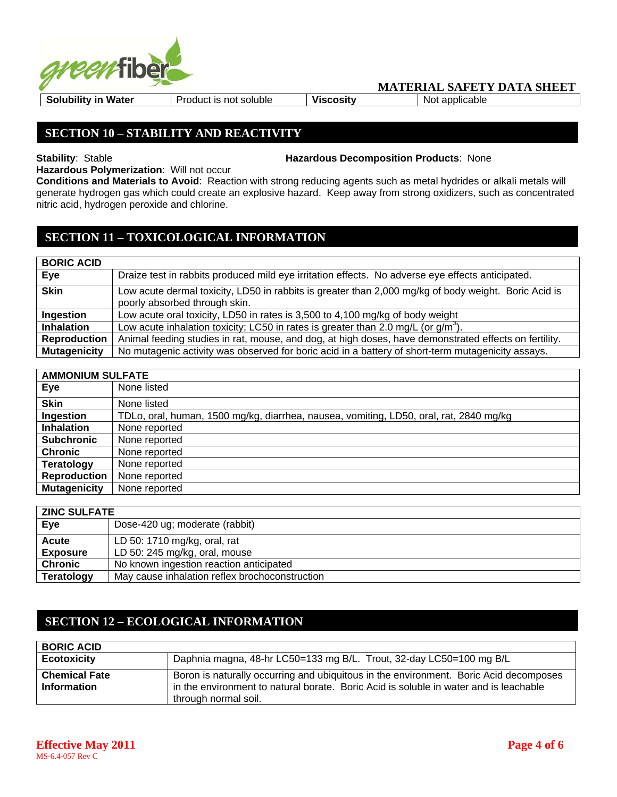

**Solubility in Water** | Product is not soluble | Viscosity | Not applicable

## **SECTION 10 – STABILITY AND REACTIVITY**

**Stability**: Stable **Hazardous Decomposition Products**: None

**Hazardous Polymerization**: Will not occur

**Conditions and Materials to Avoid**: Reaction with strong reducing agents such as metal hydrides or alkali metals will generate hydrogen gas which could create an explosive hazard. Keep away from strong oxidizers, such as concentrated nitric acid, hydrogen peroxide and chlorine.

# **SECTION 11 – TOXICOLOGICAL INFORMATION**

### **BORIC ACID**

| Eye                 | Draize test in rabbits produced mild eye irritation effects. No adverse eye effects anticipated.                                      |
|---------------------|---------------------------------------------------------------------------------------------------------------------------------------|
| <b>Skin</b>         | Low acute dermal toxicity, LD50 in rabbits is greater than 2,000 mg/kg of body weight. Boric Acid is<br>poorly absorbed through skin. |
| Ingestion           | Low acute oral toxicity, LD50 in rates is 3,500 to 4,100 mg/kg of body weight                                                         |
| <b>Inhalation</b>   | Low acute inhalation toxicity; LC50 in rates is greater than 2.0 mg/L (or $q/m3$ ).                                                   |
| Reproduction        | Animal feeding studies in rat, mouse, and dog, at high doses, have demonstrated effects on fertility.                                 |
| <b>Mutagenicity</b> | No mutagenic activity was observed for boric acid in a battery of short-term mutagenicity assays.                                     |

| <b>AMMONIUM SULFATE</b> |                                                                                        |  |
|-------------------------|----------------------------------------------------------------------------------------|--|
| Eye                     | None listed                                                                            |  |
| <b>Skin</b>             | None listed                                                                            |  |
| Ingestion               | TDLo, oral, human, 1500 mg/kg, diarrhea, nausea, vomiting, LD50, oral, rat, 2840 mg/kg |  |
| <b>Inhalation</b>       | None reported                                                                          |  |
| <b>Subchronic</b>       | None reported                                                                          |  |
| <b>Chronic</b>          | None reported                                                                          |  |
| <b>Teratology</b>       | None reported                                                                          |  |
| <b>Reproduction</b>     | None reported                                                                          |  |
| <b>Mutagenicity</b>     | None reported                                                                          |  |

| <b>ZINC SULFATE</b> |                                                |  |
|---------------------|------------------------------------------------|--|
| Eye                 | Dose-420 ug; moderate (rabbit)                 |  |
| Acute               | LD 50: 1710 mg/kg, oral, rat                   |  |
| <b>Exposure</b>     | LD 50: 245 mg/kg, oral, mouse                  |  |
| <b>Chronic</b>      | No known ingestion reaction anticipated        |  |
| Teratology          | May cause inhalation reflex brochoconstruction |  |

# **SECTION 12 – ECOLOGICAL INFORMATION**

| <b>BORIC ACID</b>                          |                                                                                                                                                                                                        |  |  |  |
|--------------------------------------------|--------------------------------------------------------------------------------------------------------------------------------------------------------------------------------------------------------|--|--|--|
| <b>Ecotoxicity</b>                         | Daphnia magna, 48-hr LC50=133 mg B/L. Trout, 32-day LC50=100 mg B/L                                                                                                                                    |  |  |  |
| <b>Chemical Fate</b><br><b>Information</b> | Boron is naturally occurring and ubiquitous in the environment. Boric Acid decomposes<br>in the environment to natural borate. Boric Acid is soluble in water and is leachable<br>through normal soil. |  |  |  |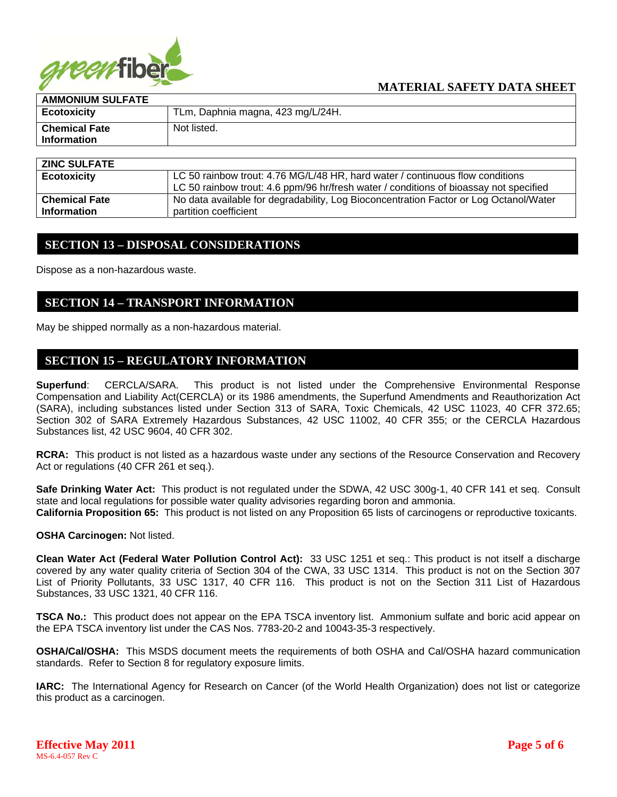

| <b>AMMONIUM SULFATE</b> |                                   |  |
|-------------------------|-----------------------------------|--|
| <b>Ecotoxicity</b>      | TLm, Daphnia magna, 423 mg/L/24H. |  |
| <b>Chemical Fate</b>    | Not listed.                       |  |
| <b>Information</b>      |                                   |  |
|                         |                                   |  |

| <b>ZINC SULFATE</b>  |                                                                                       |  |  |
|----------------------|---------------------------------------------------------------------------------------|--|--|
| <b>Ecotoxicity</b>   | LC 50 rainbow trout: 4.76 MG/L/48 HR, hard water / continuous flow conditions         |  |  |
|                      | LC 50 rainbow trout: 4.6 ppm/96 hr/fresh water / conditions of bioassay not specified |  |  |
| <b>Chemical Fate</b> | No data available for degradability, Log Bioconcentration Factor or Log Octanol/Water |  |  |
| <b>Information</b>   | partition coefficient                                                                 |  |  |

#### **SECTION 13 – DISPOSAL CONSIDERATIONS**

Dispose as a non-hazardous waste.

#### **SECTION 14 – TRANSPORT INFORMATION**

May be shipped normally as a non-hazardous material.

#### **SECTION 15 – REGULATORY INFORMATION**

**Superfund**: CERCLA/SARA. This product is not listed under the Comprehensive Environmental Response Compensation and Liability Act(CERCLA) or its 1986 amendments, the Superfund Amendments and Reauthorization Act (SARA), including substances listed under Section 313 of SARA, Toxic Chemicals, 42 USC 11023, 40 CFR 372.65; Section 302 of SARA Extremely Hazardous Substances, 42 USC 11002, 40 CFR 355; or the CERCLA Hazardous Substances list, 42 USC 9604, 40 CFR 302.

**RCRA:** This product is not listed as a hazardous waste under any sections of the Resource Conservation and Recovery Act or regulations (40 CFR 261 et seq.).

**Safe Drinking Water Act:** This product is not regulated under the SDWA, 42 USC 300g-1, 40 CFR 141 et seq. Consult state and local regulations for possible water quality advisories regarding boron and ammonia. **California Proposition 65:** This product is not listed on any Proposition 65 lists of carcinogens or reproductive toxicants.

**OSHA Carcinogen:** Not listed.

**Clean Water Act (Federal Water Pollution Control Act):** 33 USC 1251 et seq.: This product is not itself a discharge covered by any water quality criteria of Section 304 of the CWA, 33 USC 1314. This product is not on the Section 307 List of Priority Pollutants, 33 USC 1317, 40 CFR 116. This product is not on the Section 311 List of Hazardous Substances, 33 USC 1321, 40 CFR 116.

**TSCA No.:** This product does not appear on the EPA TSCA inventory list. Ammonium sulfate and boric acid appear on the EPA TSCA inventory list under the CAS Nos. 7783-20-2 and 10043-35-3 respectively.

**OSHA/Cal/OSHA:** This MSDS document meets the requirements of both OSHA and Cal/OSHA hazard communication standards. Refer to Section 8 for regulatory exposure limits.

**IARC:** The International Agency for Research on Cancer (of the World Health Organization) does not list or categorize this product as a carcinogen.